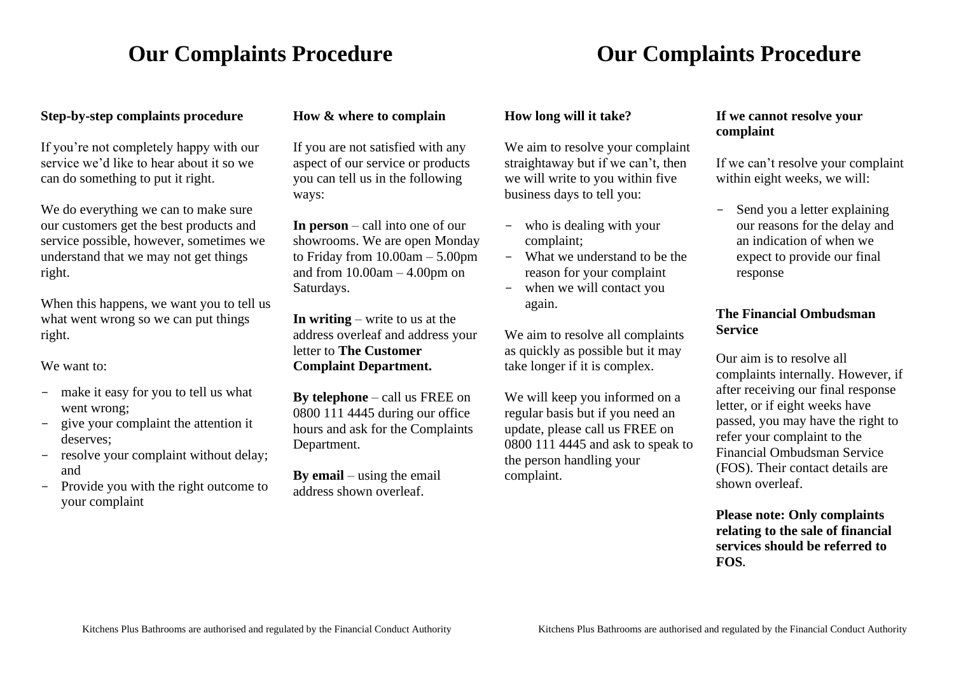# **Our Complaints Procedure Complaints Procedure Complaints Procedure**

### **Step-by-step complaints procedure**

If you're not completely happy with our service we'd like to hear about it so we can do something to put it right.

We do everything we can to make sure our customers get the best products and service possible, however, sometimes we understand that we may not get things right.

When this happens, we want you to tell us what went wrong so we can put things right.

We want to:

- make it easy for you to tell us what went wrong;
- give your complaint the attention it deserves;
- resolve your complaint without delay; and
- Provide you with the right outcome to your complaint

#### **How & where to complain**

If you are not satisfied with any aspect of our service or products you can tell us in the following ways:

**In person** – call into one of our showrooms. We are open Monday to Friday from 10.00am – 5.00pm and from 10.00am – 4.00pm on Saturdays.

**In writing** – write to us at the address overleaf and address your letter to **The Customer Complaint Department.**

**By telephone** – call us FREE on 0800 111 4445 during our office hours and ask for the Complaints Department.

**By email** – using the email address shown overleaf.

#### **How long will it take?**

We aim to resolve your complaint straightaway but if we can't, then we will write to you within five business days to tell you:

- who is dealing with your complaint;
- What we understand to be the reason for your complaint
- when we will contact you again.

We aim to resolve all complaints as quickly as possible but it may take longer if it is complex.

We will keep you informed on a regular basis but if you need an update, please call us FREE on 0800 111 4445 and ask to speak to the person handling your complaint.

#### **If we cannot resolve your complaint**

If we can't resolve your complaint within eight weeks, we will:

- Send you a letter explaining our reasons for the delay and an indication of when we expect to provide our final response

### **The Financial Ombudsman Service**

Our aim is to resolve all complaints internally. However, if after receiving our final response letter, or if eight weeks have passed, you may have the right to refer your complaint to the Financial Ombudsman Service (FOS). Their contact details are shown overleaf.

**Please note: Only complaints relating to the sale of financial services should be referred to FOS.**